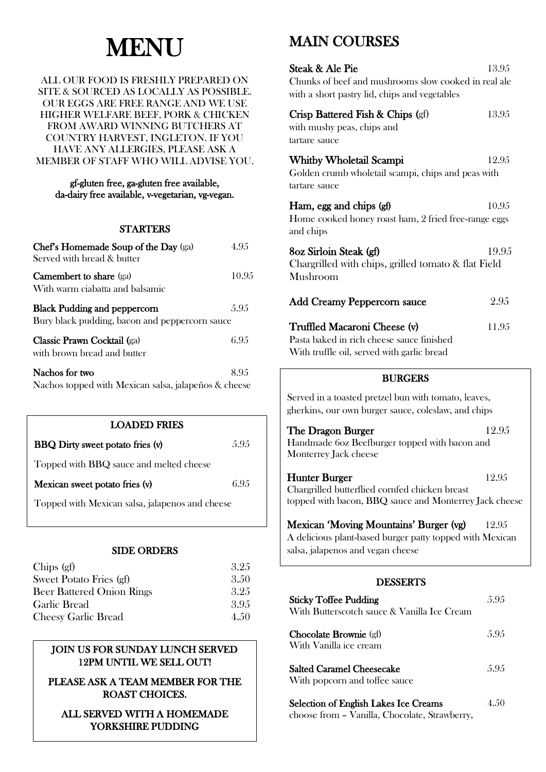# **MENU**

#### ALL OUR FOOD IS FRESHLY PREPARED ON SITE & SOURCED AS LOCALLY AS POSSIBLE. OUR EGGS ARE FREE RANGE AND WE USE HIGHER WELFARE BEEF, PORK & CHICKEN FROM AWARD WINNING BUTCHERS AT COUNTRY HARVEST, INGLETON. IF YOU HAVE ANY ALLERGIES, PLEASE ASK A MEMBER OF STAFF WHO WILL ADVISE YOU.

#### gf-gluten free, ga-gluten free available, da-dairy free available, v-vegetarian, vg-vegan.

## **STARTERS**

| Chef's Homemade Soup of the Day (ga)<br>Served with bread & butter                    | 4 9 5 |
|---------------------------------------------------------------------------------------|-------|
| <b>Camembert to share</b> (ga)<br>With warm ciabatta and balsamic                     | 10.95 |
| <b>Black Pudding and peppercorn</b><br>Bury black pudding, bacon and peppercorn sauce | 5.95  |
| Classic Prawn Cocktail (ga)<br>with brown bread and butter                            | 6.95  |
| Nachos for two                                                                        | 895   |

Nachos topped with Mexican salsa, jalapeños & cheese

| <b>LOADED FRIES</b>                             |      |  |
|-------------------------------------------------|------|--|
| <b>BBQ</b> Dirty sweet potato fries (v)         | 5.95 |  |
| Topped with BBQ sauce and melted cheese         |      |  |
| Mexican sweet potato fries (v)                  | 6.95 |  |
| Topped with Mexican salsa, jalapenos and cheese |      |  |
|                                                 |      |  |

## SIDE ORDERS

| 3.25 |
|------|
| 3.50 |
| 3.25 |
| 3.95 |
| 4.50 |
|      |

# JOIN US FOR SUNDAY LUNCH SERVED 12PM UNTIL WE SELL OUT!

 $\overline{\phantom{a}}$ 

PLEASE ASK A TEAM MEMBER FOR THE ROAST CHOICES.

# ALL SERVED WITH A HOMEMADE YORKSHIRE PUDDING

# MAIN COURSES

| Steak & Ale Pie<br>Chunks of beef and mushrooms slow cooked in real ale<br>with a short pastry lid, chips and vegetables                | 13.95 |
|-----------------------------------------------------------------------------------------------------------------------------------------|-------|
| Crisp Battered Fish & Chips (gf)<br>with mushy peas, chips and<br>tartare sauce                                                         | 13.95 |
| <b>Whitby Wholetail Scampi</b><br>Golden crumb wholetail scampi, chips and peas with<br>tartare sauce                                   | 12.95 |
| Ham, egg and chips (gf)<br>Home cooked honey roast ham, 2 fried free-range eggs<br>and chips                                            | 10.95 |
| 8oz Sirloin Steak (gf)<br>Chargrilled with chips, grilled tomato & flat Field<br>Mushroom                                               | 19.95 |
| <b>Add Creamy Peppercorn sauce</b>                                                                                                      | 2.95  |
| Truffled Macaroni Cheese (v)<br>Pasta baked in rich cheese sauce finished<br>With truffle oil, served with garlic bread                 | 11.95 |
| <b>BURGERS</b>                                                                                                                          |       |
| Served in a toasted pretzel bun with tomato, leaves,<br>gherkins, our own burger sauce, coleslaw, and chips                             |       |
| The Dragon Burger<br>Handmade 6oz Beefburger topped with bacon and<br>Monterrey Jack cheese                                             | 12.95 |
| Hunter Burger<br>Chargrilled butterflied cornfed chicken breast<br>topped with bacon, BBQ sauce and Monterrey Jack cheese               | 12.95 |
| Mexican 'Moving Mountains' Burger (vg)<br>A delicious plant-based burger patty topped with Mexican<br>salsa, jalapenos and vegan cheese | 12.95 |
| <b>DESSERTS</b>                                                                                                                         |       |

| <b>Sticky Toffee Pudding</b><br>With Butterscotch sauce & Vanilla Ice Cream | 5.95 |
|-----------------------------------------------------------------------------|------|
| <b>Chocolate Brownie</b> (gf)<br>With Vanilla ice cream                     | 5.95 |
| <b>Salted Caramel Cheesecake</b><br>With popcorn and toffee sauce           | 5.95 |
| <b>Selection of English Lakes Ice Creams</b>                                | 4.50 |

choose from – Vanilla, Chocolate, Strawberry,